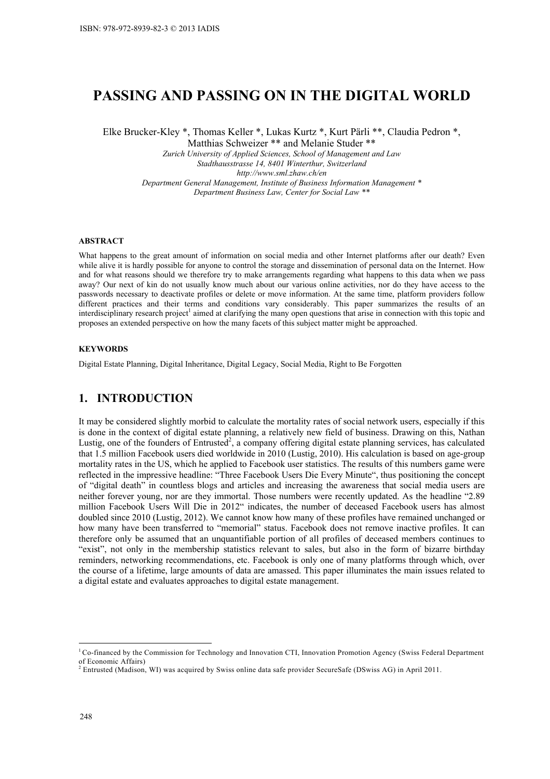# **PASSING AND PASSING ON IN THE DIGITAL WORLD**

Elke Brucker-Kley \*, Thomas Keller \*, Lukas Kurtz \*, Kurt Pärli \*\*, Claudia Pedron \*,

Matthias Schweizer \*\* and Melanie Studer \*\*

*Zurich University of Applied Sciences, School of Management and Law Stadthausstrasse 14, 8401 Winterthur, Switzerland http://www.sml.zhaw.ch/en Department General Management, Institute of Business Information Management \* Department Business Law, Center for Social Law \*\** 

### **ABSTRACT**

What happens to the great amount of information on social media and other Internet platforms after our death? Even while alive it is hardly possible for anyone to control the storage and dissemination of personal data on the Internet. How and for what reasons should we therefore try to make arrangements regarding what happens to this data when we pass away? Our next of kin do not usually know much about our various online activities, nor do they have access to the passwords necessary to deactivate profiles or delete or move information. At the same time, platform providers follow different practices and their terms and conditions vary considerably. This paper summarizes the results of an interdisciplinary research project<sup>1</sup> aimed at clarifying the many open questions that arise in connection with this topic and proposes an extended perspective on how the many facets of this subject matter might be approached.

### **KEYWORDS**

Digital Estate Planning, Digital Inheritance, Digital Legacy, Social Media, Right to Be Forgotten

## **1. INTRODUCTION**

It may be considered slightly morbid to calculate the mortality rates of social network users, especially if this is done in the context of digital estate planning, a relatively new field of business. Drawing on this, Nathan Lustig, one of the founders of Entrusted<sup>2</sup>, a company offering digital estate planning services, has calculated that 1.5 million Facebook users died worldwide in 2010 (Lustig, 2010). His calculation is based on age-group mortality rates in the US, which he applied to Facebook user statistics. The results of this numbers game were reflected in the impressive headline: "Three Facebook Users Die Every Minute", thus positioning the concept of "digital death" in countless blogs and articles and increasing the awareness that social media users are neither forever young, nor are they immortal. Those numbers were recently updated. As the headline "2.89 million Facebook Users Will Die in 2012" indicates, the number of deceased Facebook users has almost doubled since 2010 (Lustig, 2012). We cannot know how many of these profiles have remained unchanged or how many have been transferred to "memorial" status. Facebook does not remove inactive profiles. It can therefore only be assumed that an unquantifiable portion of all profiles of deceased members continues to "exist", not only in the membership statistics relevant to sales, but also in the form of bizarre birthday reminders, networking recommendations, etc. Facebook is only one of many platforms through which, over the course of a lifetime, large amounts of data are amassed. This paper illuminates the main issues related to a digital estate and evaluates approaches to digital estate management.

 $\overline{a}$ 

<sup>&</sup>lt;sup>1</sup> Co-financed by the Commission for Technology and Innovation CTI, Innovation Promotion Agency (Swiss Federal Department of Economic Affairs)

<sup>2</sup> Entrusted (Madison, WI) was acquired by Swiss online data safe provider SecureSafe (DSwiss AG) in April 2011.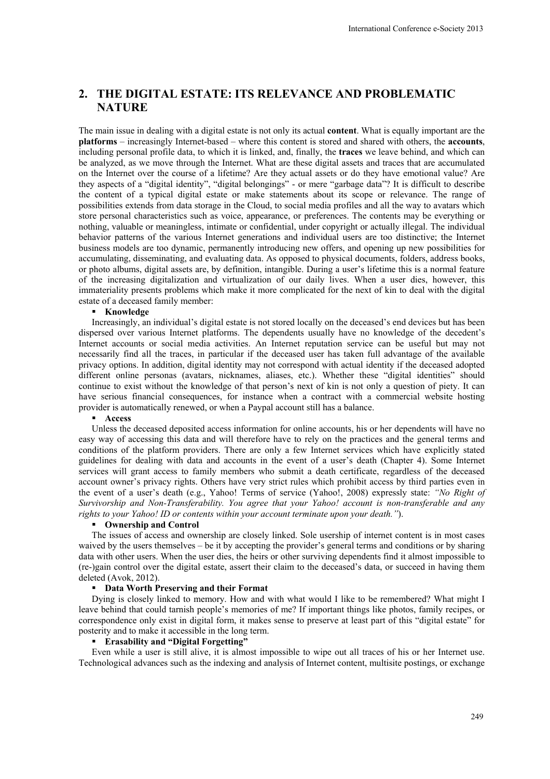## **2. THE DIGITAL ESTATE: ITS RELEVANCE AND PROBLEMATIC NATURE**

The main issue in dealing with a digital estate is not only its actual **content**. What is equally important are the **platforms** – increasingly Internet-based – where this content is stored and shared with others, the **accounts**, including personal profile data, to which it is linked, and, finally, the **traces** we leave behind, and which can be analyzed, as we move through the Internet. What are these digital assets and traces that are accumulated on the Internet over the course of a lifetime? Are they actual assets or do they have emotional value? Are they aspects of a "digital identity", "digital belongings" - or mere "garbage data"? It is difficult to describe the content of a typical digital estate or make statements about its scope or relevance. The range of possibilities extends from data storage in the Cloud, to social media profiles and all the way to avatars which store personal characteristics such as voice, appearance, or preferences. The contents may be everything or nothing, valuable or meaningless, intimate or confidential, under copyright or actually illegal. The individual behavior patterns of the various Internet generations and individual users are too distinctive; the Internet business models are too dynamic, permanently introducing new offers, and opening up new possibilities for accumulating, disseminating, and evaluating data. As opposed to physical documents, folders, address books, or photo albums, digital assets are, by definition, intangible. During a user's lifetime this is a normal feature of the increasing digitalization and virtualization of our daily lives. When a user dies, however, this immateriality presents problems which make it more complicated for the next of kin to deal with the digital estate of a deceased family member:

#### **Knowledge**

Increasingly, an individual's digital estate is not stored locally on the deceased's end devices but has been dispersed over various Internet platforms. The dependents usually have no knowledge of the decedent's Internet accounts or social media activities. An Internet reputation service can be useful but may not necessarily find all the traces, in particular if the deceased user has taken full advantage of the available privacy options. In addition, digital identity may not correspond with actual identity if the deceased adopted different online personas (avatars, nicknames, aliases, etc.). Whether these "digital identities" should continue to exist without the knowledge of that person's next of kin is not only a question of piety. It can have serious financial consequences, for instance when a contract with a commercial website hosting provider is automatically renewed, or when a Paypal account still has a balance.

### **Access**

Unless the deceased deposited access information for online accounts, his or her dependents will have no easy way of accessing this data and will therefore have to rely on the practices and the general terms and conditions of the platform providers. There are only a few Internet services which have explicitly stated guidelines for dealing with data and accounts in the event of a user's death (Chapter 4). Some Internet services will grant access to family members who submit a death certificate, regardless of the deceased account owner's privacy rights. Others have very strict rules which prohibit access by third parties even in the event of a user's death (e.g., Yahoo! Terms of service (Yahoo!, 2008) expressly state: *"No Right of Survivorship and Non-Transferability. You agree that your Yahoo! account is non-transferable and any rights to your Yahoo! ID or contents within your account terminate upon your death."*).

### **Ownership and Control**

The issues of access and ownership are closely linked. Sole usership of internet content is in most cases waived by the users themselves – be it by accepting the provider's general terms and conditions or by sharing data with other users. When the user dies, the heirs or other surviving dependents find it almost impossible to (re-)gain control over the digital estate, assert their claim to the deceased's data, or succeed in having them deleted (Avok, 2012).

#### **Data Worth Preserving and their Format**

Dying is closely linked to memory. How and with what would I like to be remembered? What might I leave behind that could tarnish people's memories of me? If important things like photos, family recipes, or correspondence only exist in digital form, it makes sense to preserve at least part of this "digital estate" for posterity and to make it accessible in the long term.

### **Erasability and "Digital Forgetting"**

Even while a user is still alive, it is almost impossible to wipe out all traces of his or her Internet use. Technological advances such as the indexing and analysis of Internet content, multisite postings, or exchange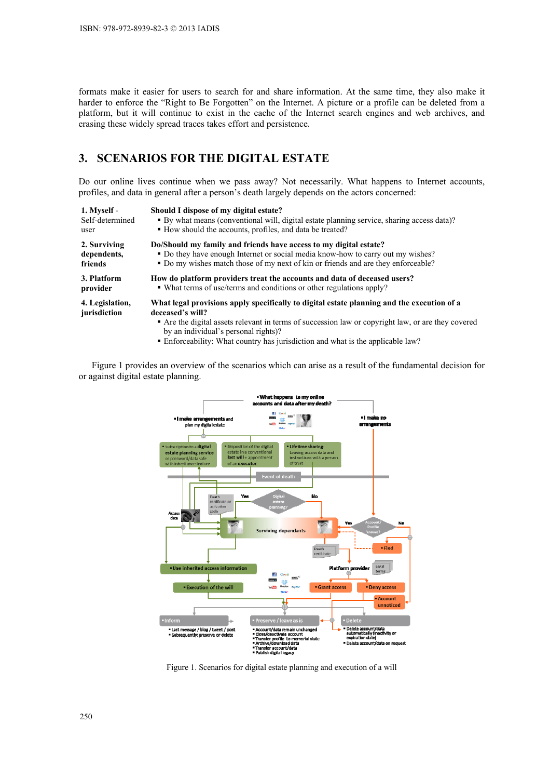formats make it easier for users to search for and share information. At the same time, they also make it harder to enforce the "Right to Be Forgotten" on the Internet. A picture or a profile can be deleted from a platform, but it will continue to exist in the cache of the Internet search engines and web archives, and erasing these widely spread traces takes effort and persistence.

## **3. SCENARIOS FOR THE DIGITAL ESTATE**

Do our online lives continue when we pass away? Not necessarily. What happens to Internet accounts, profiles, and data in general after a person's death largely depends on the actors concerned:

| 1. Myself -                     | Should I dispose of my digital estate?                                                                                                                                                                                                                                                                                                          |
|---------------------------------|-------------------------------------------------------------------------------------------------------------------------------------------------------------------------------------------------------------------------------------------------------------------------------------------------------------------------------------------------|
| Self-determined                 | • By what means (conventional will, digital estate planning service, sharing access data)?                                                                                                                                                                                                                                                      |
| user                            | • How should the accounts, profiles, and data be treated?                                                                                                                                                                                                                                                                                       |
| 2. Surviving                    | Do/Should my family and friends have access to my digital estate?                                                                                                                                                                                                                                                                               |
| dependents,                     | • Do they have enough Internet or social media know-how to carry out my wishes?                                                                                                                                                                                                                                                                 |
| friends                         | • Do my wishes match those of my next of kin or friends and are they enforceable?                                                                                                                                                                                                                                                               |
| 3. Platform                     | How do platform providers treat the accounts and data of deceased users?                                                                                                                                                                                                                                                                        |
| provider                        | • What terms of use/terms and conditions or other regulations apply?                                                                                                                                                                                                                                                                            |
| 4. Legislation,<br>jurisdiction | What legal provisions apply specifically to digital estate planning and the execution of a<br>deceased's will?<br>• Are the digital assets relevant in terms of succession law or copyright law, or are they covered<br>by an individual's personal rights)?<br>• Enforceability: What country has jurisdiction and what is the applicable law? |

Figure 1 provides an overview of the scenarios which can arise as a result of the fundamental decision for or against digital estate planning.



Figure 1. Scenarios for digital estate planning and execution of a will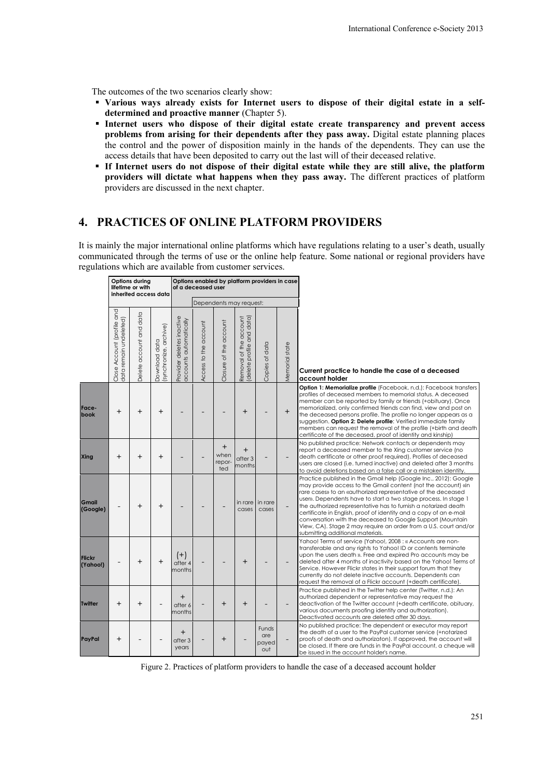The outcomes of the two scenarios clearly show:

- **Various ways already exists for Internet users to dispose of their digital estate in a selfdetermined and proactive manner** (Chapter 5).
- **Internet users who dispose of their digital estate create transparency and prevent access problems from arising for their dependents after they pass away.** Digital estate planning places the control and the power of disposition mainly in the hands of the dependents. They can use the access details that have been deposited to carry out the last will of their deceased relative.
- **If Internet users do not dispose of their digital estate while they are still alive, the platform providers will dictate what happens when they pass away.** The different practices of platform providers are discussed in the next chapter.

## **4. PRACTICES OF ONLINE PLATFORM PROVIDERS**

It is mainly the major international online platforms which have regulations relating to a user's death, usually communicated through the terms of use or the online help feature. Some national or regional providers have regulations which are available from customer services.

|                           | Options during<br>lifetime or with<br>inherited access data |                         |                                         | Options enabled by platform providers in case<br>of a deceased user |                       |                                         |                                                    |                              |                |                                                                                                                                                                                                                                                                                                                                                                                                                                                                                                                                                                                   |
|---------------------------|-------------------------------------------------------------|-------------------------|-----------------------------------------|---------------------------------------------------------------------|-----------------------|-----------------------------------------|----------------------------------------------------|------------------------------|----------------|-----------------------------------------------------------------------------------------------------------------------------------------------------------------------------------------------------------------------------------------------------------------------------------------------------------------------------------------------------------------------------------------------------------------------------------------------------------------------------------------------------------------------------------------------------------------------------------|
|                           |                                                             |                         |                                         | Dependents may reauest:                                             |                       |                                         |                                                    |                              |                |                                                                                                                                                                                                                                                                                                                                                                                                                                                                                                                                                                                   |
|                           | Close Account (profile and<br>data remain undeleted)        | Delete account and data | (synchronize, archive)<br>Download data | Provider deletes inactive<br>accounts automatically                 | Access to the account | Closure of the account                  | Removal of the account<br>delete profile and data) | data<br>of o<br>Copies       | Memorial state | Current practice to handle the case of a deceased<br>account holder                                                                                                                                                                                                                                                                                                                                                                                                                                                                                                               |
| Face-<br>book             | $^{+}$                                                      | $\ddot{}$               | $^{+}$                                  |                                                                     |                       |                                         | $^{+}$                                             |                              | $+$            | Option 1: Memorialize profile (Facebook, n.d.): Facebook transfers<br>profiles of deceased members to memorial status. A deceased<br>member can be reported by family or friends (+obituary). Once<br>memorialized, only confirmed friends can find, view and post on<br>the deceased persons profile. The profile no longer appears as a<br>suggestion. Option 2: Delete profile: Verified immediate family<br>members can request the removal of the profile (+birth and death)<br>certificate of the deceased, proof of identity and kinship)                                  |
| Xing                      | $\ddot{}$                                                   | $\ddot{}$               | $\ddot{}$                               |                                                                     |                       | $\overline{+}$<br>when<br>repor-<br>ted | $\boldsymbol{+}$<br>after <sub>3</sub><br>months   |                              |                | No published practice: Network contacts or dependents may<br>report a deceased member to the Xing customer service (no<br>death certificate or other proof required). Profiles of deceased<br>users are closed (i.e. turned inactive) and deleted after 3 months<br>to avoid deletions based on a false call or a mistaken identity.                                                                                                                                                                                                                                              |
| Gmail<br>(Google)         |                                                             | $\boldsymbol{+}$        | $^{+}$                                  |                                                                     |                       |                                         | cases                                              | in rare I in rare<br>cases   |                | Practice published in the Gmail help (Google Inc., 2012): Google<br>may provide access to the Gmail content (not the account) «in<br>rare cases» to an «authorized representative of the deceased<br>usen». Dependents have to start a two stage process. In stage 1<br>the authorized representative has to furnish a notarized death<br>certificate in English, proof of identity and a copy of an e-mail<br>conversation with the deceased to Google Support (Mountain<br>View, CA). Stage 2 may require an order from a U.S. court and/or<br>submitting additional materials. |
| <b>Flickr</b><br>(Yahoo!) |                                                             | $^{+}$                  | $^{+}$                                  | $(+)$<br>after 4<br>months                                          |                       |                                         | $\ddot{}$                                          |                              |                | Yahoo! Terms of service (Yahoo!, 2008 : « Accounts are non-<br>transferable and any rights to Yahoo! ID or contents terminate<br>upon the users death ». Free and expired Pro accounts may be<br>deleted after 4 months of inactivity based on the Yahoo! Terms of<br>Service. However Flickr states in their support forum that they<br>currently do not delete inactive accounts. Dependents can<br>request the removal of a Flickr account (+death certificate).                                                                                                               |
| <b>Twitter</b>            | $^{+}$                                                      | $^{+}$                  |                                         | $\overline{+}$<br>after 6<br>months                                 |                       | $\boldsymbol{+}$                        | $^{+}$                                             |                              |                | Practice published in the Twitter help center (Twitter, n.d.): An<br>authorized dependent or representative may request the<br>deactivation of the Twitter account (+death certificate, obituary,<br>various documents proofing identity and authorization).<br>Deactivated accounts are deleted after 30 days.                                                                                                                                                                                                                                                                   |
| PayPal                    | $\pmb{+}$                                                   |                         |                                         | $\ddot{}$<br>after <sub>3</sub><br>years                            |                       | $\,^+$                                  |                                                    | Funds<br>are<br>payed<br>out |                | No published practice: The dependent or executor may report<br>the death of a user to the PayPal customer service (+notarized<br>proofs of death and authorizaton). If approved, the account will<br>be closed. If there are funds in the PayPal account, a cheque will<br>be issued in the account holder's name.                                                                                                                                                                                                                                                                |

Figure 2. Practices of platform providers to handle the case of a deceased account holder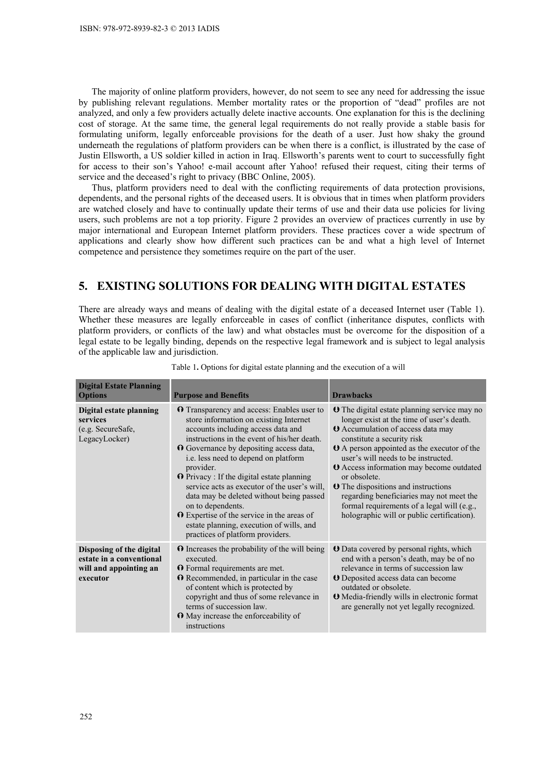The majority of online platform providers, however, do not seem to see any need for addressing the issue by publishing relevant regulations. Member mortality rates or the proportion of "dead" profiles are not analyzed, and only a few providers actually delete inactive accounts. One explanation for this is the declining cost of storage. At the same time, the general legal requirements do not really provide a stable basis for formulating uniform, legally enforceable provisions for the death of a user. Just how shaky the ground underneath the regulations of platform providers can be when there is a conflict, is illustrated by the case of Justin Ellsworth, a US soldier killed in action in Iraq. Ellsworth's parents went to court to successfully fight for access to their son's Yahoo! e-mail account after Yahoo! refused their request, citing their terms of service and the deceased's right to privacy (BBC Online, 2005).

Thus, platform providers need to deal with the conflicting requirements of data protection provisions, dependents, and the personal rights of the deceased users. It is obvious that in times when platform providers are watched closely and have to continually update their terms of use and their data use policies for living users, such problems are not a top priority. Figure 2 provides an overview of practices currently in use by major international and European Internet platform providers. These practices cover a wide spectrum of applications and clearly show how different such practices can be and what a high level of Internet competence and persistence they sometimes require on the part of the user.

## **5. EXISTING SOLUTIONS FOR DEALING WITH DIGITAL ESTATES**

There are already ways and means of dealing with the digital estate of a deceased Internet user (Table 1). Whether these measures are legally enforceable in cases of conflict (inheritance disputes, conflicts with platform providers, or conflicts of the law) and what obstacles must be overcome for the disposition of a legal estate to be legally binding, depends on the respective legal framework and is subject to legal analysis of the applicable law and jurisdiction.

| <b>Digital Estate Planning</b><br><b>Options</b>                                           | <b>Purpose and Benefits</b>                                                                                                                                                                                                                                                                                                                                                                                                                                                                                                                                                                 | <b>Drawbacks</b>                                                                                                                                                                                                                                                                                                                                                                                                                                                                                                                 |
|--------------------------------------------------------------------------------------------|---------------------------------------------------------------------------------------------------------------------------------------------------------------------------------------------------------------------------------------------------------------------------------------------------------------------------------------------------------------------------------------------------------------------------------------------------------------------------------------------------------------------------------------------------------------------------------------------|----------------------------------------------------------------------------------------------------------------------------------------------------------------------------------------------------------------------------------------------------------------------------------------------------------------------------------------------------------------------------------------------------------------------------------------------------------------------------------------------------------------------------------|
| <b>Digital estate planning</b><br>services<br>(e.g. SecureSafe,<br>LegacyLocker)           | <b>O</b> Transparency and access: Enables user to<br>store information on existing Internet<br>accounts including access data and<br>instructions in the event of his/her death.<br>O Governance by depositing access data,<br>i.e. less need to depend on platform<br>provider.<br>$\Omega$ Privacy : If the digital estate planning<br>service acts as executor of the user's will,<br>data may be deleted without being passed<br>on to dependents.<br>$\Omega$ Expertise of the service in the areas of<br>estate planning, execution of wills, and<br>practices of platform providers. | <b>U</b> The digital estate planning service may no<br>longer exist at the time of user's death.<br><b>U</b> Accumulation of access data may<br>constitute a security risk<br><b>U</b> A person appointed as the executor of the<br>user's will needs to be instructed.<br><b>U</b> Access information may become outdated<br>or obsolete.<br><b>O</b> The dispositions and instructions<br>regarding beneficiaries may not meet the<br>formal requirements of a legal will (e.g.,<br>holographic will or public certification). |
| Disposing of the digital<br>estate in a conventional<br>will and appointing an<br>executor | $\Omega$ Increases the probability of the will being<br>executed.<br><b>O</b> Formal requirements are met.<br><b>O</b> Recommended, in particular in the case<br>of content which is protected by<br>copyright and thus of some relevance in<br>terms of succession law.<br><b>O</b> May increase the enforceability of<br>instructions                                                                                                                                                                                                                                                     | <b>U</b> Data covered by personal rights, which<br>end with a person's death, may be of no<br>relevance in terms of succession law<br><b>O</b> Deposited access data can become<br>outdated or obsolete.<br><b>O</b> Media-friendly wills in electronic format<br>are generally not yet legally recognized.                                                                                                                                                                                                                      |

Table 1**.** Options for digital estate planning and the execution of a will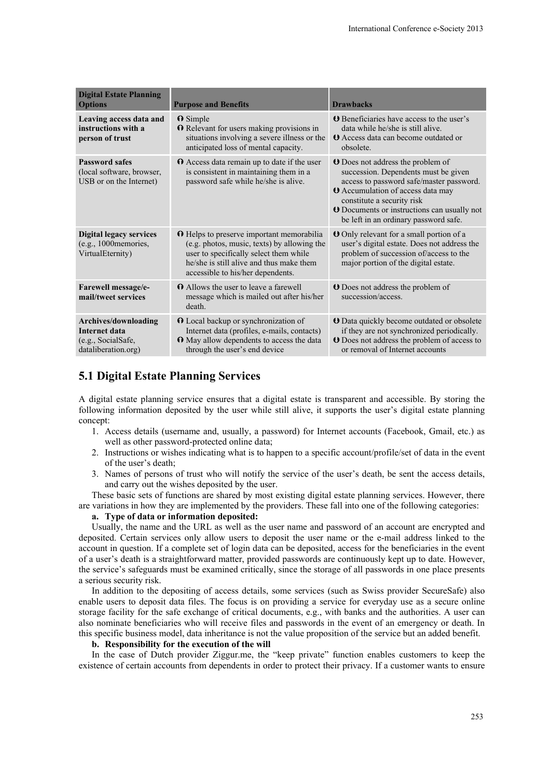| <b>Digital Estate Planning</b><br><b>Options</b>                                   | <b>Purpose and Benefits</b>                                                                                                                                                                                         | <b>Drawbacks</b>                                                                                                                                                                                                                                                                                      |
|------------------------------------------------------------------------------------|---------------------------------------------------------------------------------------------------------------------------------------------------------------------------------------------------------------------|-------------------------------------------------------------------------------------------------------------------------------------------------------------------------------------------------------------------------------------------------------------------------------------------------------|
| Leaving access data and<br>instructions with a<br>person of trust                  | $\Omega$ Simple<br><b>O</b> Relevant for users making provisions in<br>situations involving a severe illness or the<br>anticipated loss of mental capacity.                                                         | <b>O</b> Beneficiaries have access to the user's<br>data while he/she is still alive.<br><b>Q</b> Access data can become outdated or<br>obsolete.                                                                                                                                                     |
| <b>Password safes</b><br>(local software, browser,<br>USB or on the Internet)      | $\Omega$ Access data remain up to date if the user<br>is consistent in maintaining them in a<br>password safe while he/she is alive.                                                                                | <b>U</b> Does not address the problem of<br>succession. Dependents must be given<br>access to password safe/master password.<br><b>U</b> Accumulation of access data may<br>constitute a security risk<br><b>O</b> Documents or instructions can usually not<br>be left in an ordinary password safe. |
| <b>Digital legacy services</b><br>(e.g., 1000 memories,<br>VirtualEternity)        | O Helps to preserve important memorabilia<br>(e.g. photos, music, texts) by allowing the<br>user to specifically select them while<br>he/she is still alive and thus make them<br>accessible to his/her dependents. | <b>O</b> Only relevant for a small portion of a<br>user's digital estate. Does not address the<br>problem of succession of/access to the<br>major portion of the digital estate.                                                                                                                      |
| Farewell message/e-<br>mail/tweet services                                         | <b>O</b> Allows the user to leave a farewell<br>message which is mailed out after his/her<br>death.                                                                                                                 | <b>O</b> Does not address the problem of<br>succession/access.                                                                                                                                                                                                                                        |
| Archives/downloading<br>Internet data<br>(e.g., SocialSafe,<br>dataliberation.org) | O Local backup or synchronization of<br>Internet data (profiles, e-mails, contacts)<br><b>O</b> May allow dependents to access the data<br>through the user's end device                                            | <b>U</b> Data quickly become outdated or obsolete<br>if they are not synchronized periodically.<br><b>O</b> Does not address the problem of access to<br>or removal of Internet accounts                                                                                                              |

## **5.1 Digital Estate Planning Services**

A digital estate planning service ensures that a digital estate is transparent and accessible. By storing the following information deposited by the user while still alive, it supports the user's digital estate planning concept:

- 1. Access details (username and, usually, a password) for Internet accounts (Facebook, Gmail, etc.) as well as other password-protected online data;
- 2. Instructions or wishes indicating what is to happen to a specific account/profile/set of data in the event of the user's death;
- 3. Names of persons of trust who will notify the service of the user's death, be sent the access details, and carry out the wishes deposited by the user.

These basic sets of functions are shared by most existing digital estate planning services. However, there are variations in how they are implemented by the providers. These fall into one of the following categories:

### **a. Type of data or information deposited:**

Usually, the name and the URL as well as the user name and password of an account are encrypted and deposited. Certain services only allow users to deposit the user name or the e-mail address linked to the account in question. If a complete set of login data can be deposited, access for the beneficiaries in the event of a user's death is a straightforward matter, provided passwords are continuously kept up to date. However, the service's safeguards must be examined critically, since the storage of all passwords in one place presents a serious security risk.

In addition to the depositing of access details, some services (such as Swiss provider SecureSafe) also enable users to deposit data files. The focus is on providing a service for everyday use as a secure online storage facility for the safe exchange of critical documents, e.g., with banks and the authorities. A user can also nominate beneficiaries who will receive files and passwords in the event of an emergency or death. In this specific business model, data inheritance is not the value proposition of the service but an added benefit.

#### **b. Responsibility for the execution of the will**

In the case of Dutch provider Ziggur.me, the "keep private" function enables customers to keep the existence of certain accounts from dependents in order to protect their privacy. If a customer wants to ensure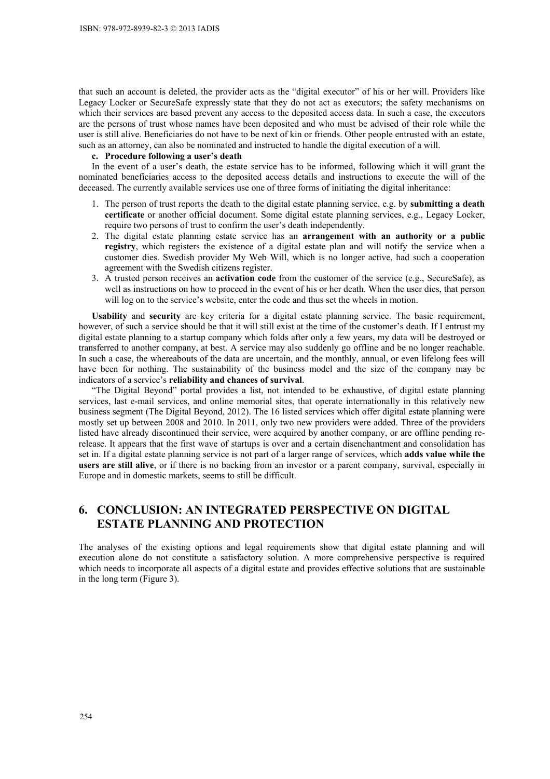that such an account is deleted, the provider acts as the "digital executor" of his or her will. Providers like Legacy Locker or SecureSafe expressly state that they do not act as executors; the safety mechanisms on which their services are based prevent any access to the deposited access data. In such a case, the executors are the persons of trust whose names have been deposited and who must be advised of their role while the user is still alive. Beneficiaries do not have to be next of kin or friends. Other people entrusted with an estate, such as an attorney, can also be nominated and instructed to handle the digital execution of a will.

## **c. Procedure following a user's death**

In the event of a user's death, the estate service has to be informed, following which it will grant the nominated beneficiaries access to the deposited access details and instructions to execute the will of the deceased. The currently available services use one of three forms of initiating the digital inheritance:

- 1. The person of trust reports the death to the digital estate planning service, e.g. by **submitting a death certificate** or another official document. Some digital estate planning services, e.g., Legacy Locker, require two persons of trust to confirm the user's death independently.
- 2. The digital estate planning estate service has an **arrangement with an authority or a public registry**, which registers the existence of a digital estate plan and will notify the service when a customer dies. Swedish provider My Web Will, which is no longer active, had such a cooperation agreement with the Swedish citizens register.
- 3. A trusted person receives an **activation code** from the customer of the service (e.g., SecureSafe), as well as instructions on how to proceed in the event of his or her death. When the user dies, that person will log on to the service's website, enter the code and thus set the wheels in motion.

**Usability** and **security** are key criteria for a digital estate planning service. The basic requirement, however, of such a service should be that it will still exist at the time of the customer's death. If I entrust my digital estate planning to a startup company which folds after only a few years, my data will be destroyed or transferred to another company, at best. A service may also suddenly go offline and be no longer reachable. In such a case, the whereabouts of the data are uncertain, and the monthly, annual, or even lifelong fees will have been for nothing. The sustainability of the business model and the size of the company may be indicators of a service's **reliability and chances of survival**.

"The Digital Beyond" portal provides a list, not intended to be exhaustive, of digital estate planning services, last e-mail services, and online memorial sites, that operate internationally in this relatively new business segment (The Digital Beyond, 2012). The 16 listed services which offer digital estate planning were mostly set up between 2008 and 2010. In 2011, only two new providers were added. Three of the providers listed have already discontinued their service, were acquired by another company, or are offline pending rerelease. It appears that the first wave of startups is over and a certain disenchantment and consolidation has set in. If a digital estate planning service is not part of a larger range of services, which **adds value while the users are still alive**, or if there is no backing from an investor or a parent company, survival, especially in Europe and in domestic markets, seems to still be difficult.

# **6. CONCLUSION: AN INTEGRATED PERSPECTIVE ON DIGITAL ESTATE PLANNING AND PROTECTION**

The analyses of the existing options and legal requirements show that digital estate planning and will execution alone do not constitute a satisfactory solution. A more comprehensive perspective is required which needs to incorporate all aspects of a digital estate and provides effective solutions that are sustainable in the long term (Figure 3).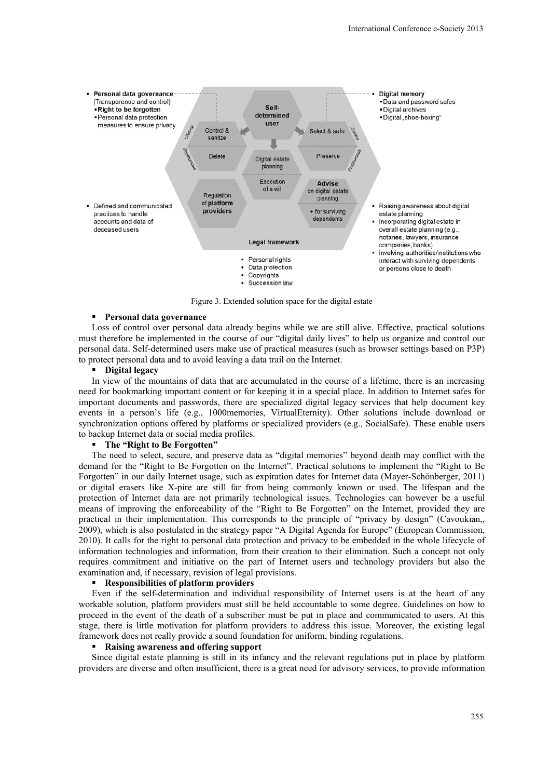

Figure 3. Extended solution space for the digital estate

#### **Personal data governance**

Loss of control over personal data already begins while we are still alive. Effective, practical solutions must therefore be implemented in the course of our "digital daily lives" to help us organize and control our personal data. Self-determined users make use of practical measures (such as browser settings based on P3P) to protect personal data and to avoid leaving a data trail on the Internet.

### **Digital legacy**

In view of the mountains of data that are accumulated in the course of a lifetime, there is an increasing need for bookmarking important content or for keeping it in a special place. In addition to Internet safes for important documents and passwords, there are specialized digital legacy services that help document key events in a person's life (e.g., 1000memories, VirtualEternity). Other solutions include download or synchronization options offered by platforms or specialized providers (e.g., SocialSafe). These enable users to backup Internet data or social media profiles.

### **The "Right to Be Forgotten"**

The need to select, secure, and preserve data as "digital memories" beyond death may conflict with the demand for the "Right to Be Forgotten on the Internet". Practical solutions to implement the "Right to Be Forgotten" in our daily Internet usage, such as expiration dates for Internet data (Mayer-Schönberger, 2011) or digital erasers like X-pire are still far from being commonly known or used. The lifespan and the protection of Internet data are not primarily technological issues. Technologies can however be a useful means of improving the enforceability of the "Right to Be Forgotten" on the Internet, provided they are practical in their implementation. This corresponds to the principle of "privacy by design" (Cavoukian,, 2009), which is also postulated in the strategy paper "A Digital Agenda for Europe" (European Commission, 2010). It calls for the right to personal data protection and privacy to be embedded in the whole lifecycle of information technologies and information, from their creation to their elimination. Such a concept not only requires commitment and initiative on the part of Internet users and technology providers but also the examination and, if necessary, revision of legal provisions.

#### **Responsibilities of platform providers**

Even if the self-determination and individual responsibility of Internet users is at the heart of any workable solution, platform providers must still be held accountable to some degree. Guidelines on how to proceed in the event of the death of a subscriber must be put in place and communicated to users. At this stage, there is little motivation for platform providers to address this issue. Moreover, the existing legal framework does not really provide a sound foundation for uniform, binding regulations.

### **Raising awareness and offering support**

Since digital estate planning is still in its infancy and the relevant regulations put in place by platform providers are diverse and often insufficient, there is a great need for advisory services, to provide information